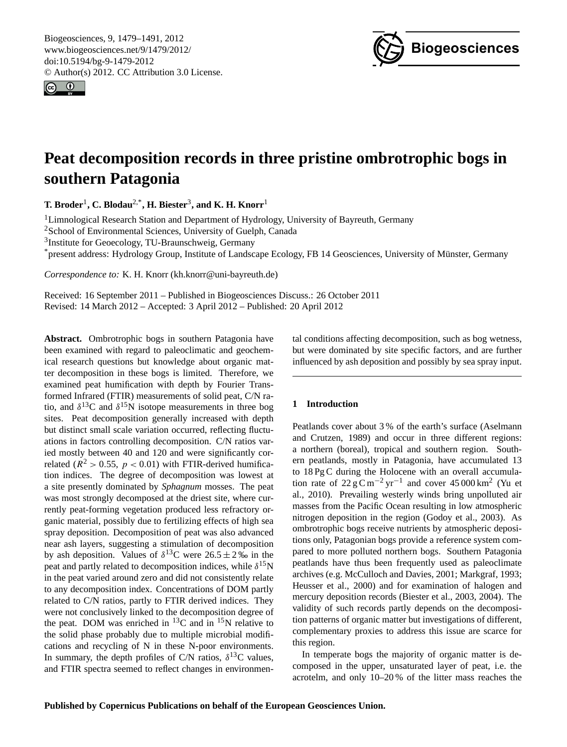<span id="page-0-0"></span>Biogeosciences, 9, 1479–1491, 2012 www.biogeosciences.net/9/1479/2012/ doi:10.5194/bg-9-1479-2012 © Author(s) 2012. CC Attribution 3.0 License.





# **Peat decomposition records in three pristine ombrotrophic bogs in southern Patagonia**

**T. Broder**<sup>1</sup> **, C. Blodau**2,\***, H. Biester**<sup>3</sup> **, and K. H. Knorr**<sup>1</sup>

<sup>1</sup>Limnological Research Station and Department of Hydrology, University of Bayreuth, Germany <sup>2</sup>School of Environmental Sciences, University of Guelph, Canada <sup>3</sup>Institute for Geoecology, TU-Braunschweig, Germany

\*present address: Hydrology Group, Institute of Landscape Ecology, FB 14 Geosciences, University of Munster, Germany ¨

*Correspondence to:* K. H. Knorr (kh.knorr@uni-bayreuth.de)

Received: 16 September 2011 – Published in Biogeosciences Discuss.: 26 October 2011 Revised: 14 March 2012 – Accepted: 3 April 2012 – Published: 20 April 2012

**Abstract.** Ombrotrophic bogs in southern Patagonia have been examined with regard to paleoclimatic and geochemical research questions but knowledge about organic matter decomposition in these bogs is limited. Therefore, we examined peat humification with depth by Fourier Transformed Infrared (FTIR) measurements of solid peat, C/N ratio, and  $\delta^{13}$ C and  $\delta^{15}$ N isotope measurements in three bog sites. Peat decomposition generally increased with depth but distinct small scale variation occurred, reflecting fluctuations in factors controlling decomposition. C/N ratios varied mostly between 40 and 120 and were significantly correlated ( $R^2 > 0.55$ ,  $p < 0.01$ ) with FTIR-derived humification indices. The degree of decomposition was lowest at a site presently dominated by *Sphagnum* mosses. The peat was most strongly decomposed at the driest site, where currently peat-forming vegetation produced less refractory organic material, possibly due to fertilizing effects of high sea spray deposition. Decomposition of peat was also advanced near ash layers, suggesting a stimulation of decomposition by ash deposition. Values of  $\delta^{13}$ C were 26.5 ± 2‰ in the peat and partly related to decomposition indices, while  $\delta^{15}N$ in the peat varied around zero and did not consistently relate to any decomposition index. Concentrations of DOM partly related to C/N ratios, partly to FTIR derived indices. They were not conclusively linked to the decomposition degree of the peat. DOM was enriched in  ${}^{13}$ C and in  ${}^{15}$ N relative to the solid phase probably due to multiple microbial modifications and recycling of N in these N-poor environments. In summary, the depth profiles of C/N ratios,  $\delta^{13}$ C values, and FTIR spectra seemed to reflect changes in environmental conditions affecting decomposition, such as bog wetness, but were dominated by site specific factors, and are further influenced by ash deposition and possibly by sea spray input.

## **1 Introduction**

Peatlands cover about 3 % of the earth's surface (Aselmann and Crutzen, 1989) and occur in three different regions: a northern (boreal), tropical and southern region. Southern peatlands, mostly in Patagonia, have accumulated 13 to 18 Pg C during the Holocene with an overall accumulation rate of  $22 \text{ g C m}^{-2} \text{ yr}^{-1}$  and cover  $45000 \text{ km}^2$  (Yu et al., 2010). Prevailing westerly winds bring unpolluted air masses from the Pacific Ocean resulting in low atmospheric nitrogen deposition in the region (Godoy et al., 2003). As ombrotrophic bogs receive nutrients by atmospheric depositions only, Patagonian bogs provide a reference system compared to more polluted northern bogs. Southern Patagonia peatlands have thus been frequently used as paleoclimate archives (e.g. McCulloch and Davies, 2001; Markgraf, 1993; Heusser et al., 2000) and for examination of halogen and mercury deposition records (Biester et al., 2003, 2004). The validity of such records partly depends on the decomposition patterns of organic matter but investigations of different, complementary proxies to address this issue are scarce for this region.

In temperate bogs the majority of organic matter is decomposed in the upper, unsaturated layer of peat, i.e. the acrotelm, and only 10–20 % of the litter mass reaches the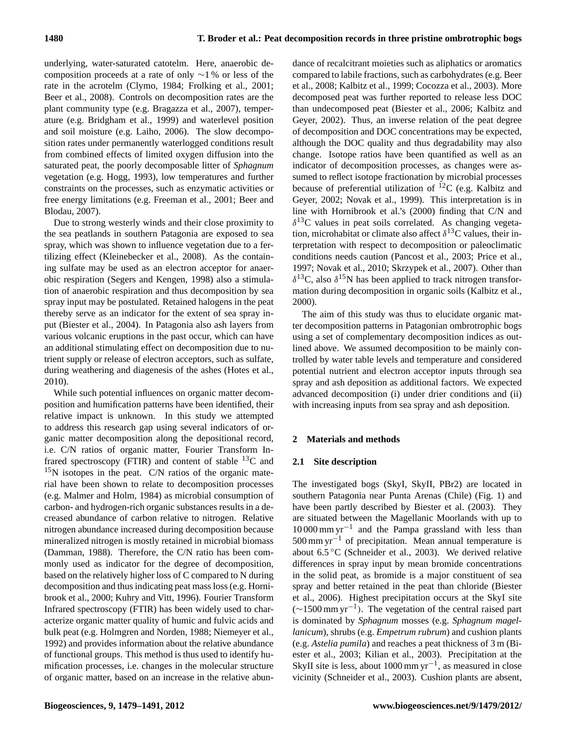underlying, water-saturated catotelm. Here, anaerobic decomposition proceeds at a rate of only ∼1 % or less of the rate in the acrotelm (Clymo, 1984; Frolking et al., 2001; Beer et al., 2008). Controls on decomposition rates are the plant community type (e.g. Bragazza et al., 2007), temperature (e.g. Bridgham et al., 1999) and waterlevel position and soil moisture (e.g. Laiho, 2006). The slow decomposition rates under permanently waterlogged conditions result from combined effects of limited oxygen diffusion into the saturated peat, the poorly decomposable litter of *Sphagnum* vegetation (e.g. Hogg, 1993), low temperatures and further constraints on the processes, such as enzymatic activities or free energy limitations (e.g. Freeman et al., 2001; Beer and Blodau, 2007).

Due to strong westerly winds and their close proximity to the sea peatlands in southern Patagonia are exposed to sea spray, which was shown to influence vegetation due to a fertilizing effect (Kleinebecker et al., 2008). As the containing sulfate may be used as an electron acceptor for anaerobic respiration (Segers and Kengen, 1998) also a stimulation of anaerobic respiration and thus decomposition by sea spray input may be postulated. Retained halogens in the peat thereby serve as an indicator for the extent of sea spray input (Biester et al., 2004). In Patagonia also ash layers from various volcanic eruptions in the past occur, which can have an additional stimulating effect on decomposition due to nutrient supply or release of electron acceptors, such as sulfate, during weathering and diagenesis of the ashes (Hotes et al., 2010).

While such potential influences on organic matter decomposition and humification patterns have been identified, their relative impact is unknown. In this study we attempted to address this research gap using several indicators of organic matter decomposition along the depositional record, i.e. C/N ratios of organic matter, Fourier Transform Infrared spectroscopy (FTIR) and content of stable  $^{13}$ C and  $15N$  isotopes in the peat. C/N ratios of the organic material have been shown to relate to decomposition processes (e.g. Malmer and Holm, 1984) as microbial consumption of carbon- and hydrogen-rich organic substances results in a decreased abundance of carbon relative to nitrogen. Relative nitrogen abundance increased during decomposition because mineralized nitrogen is mostly retained in microbial biomass (Damman, 1988). Therefore, the C/N ratio has been commonly used as indicator for the degree of decomposition, based on the relatively higher loss of C compared to N during decomposition and thus indicating peat mass loss (e.g. Hornibrook et al., 2000; Kuhry and Vitt, 1996). Fourier Transform Infrared spectroscopy (FTIR) has been widely used to characterize organic matter quality of humic and fulvic acids and bulk peat (e.g. Holmgren and Norden, 1988; Niemeyer et al., 1992) and provides information about the relative abundance of functional groups. This method is thus used to identify humification processes, i.e. changes in the molecular structure of organic matter, based on an increase in the relative abundance of recalcitrant moieties such as aliphatics or aromatics compared to labile fractions, such as carbohydrates (e.g. Beer et al., 2008; Kalbitz et al., 1999; Cocozza et al., 2003). More decomposed peat was further reported to release less DOC than undecomposed peat (Biester et al., 2006; Kalbitz and Geyer, 2002). Thus, an inverse relation of the peat degree of decomposition and DOC concentrations may be expected, although the DOC quality and thus degradability may also change. Isotope ratios have been quantified as well as an indicator of decomposition processes, as changes were assumed to reflect isotope fractionation by microbial processes because of preferential utilization of  ${}^{12}C$  (e.g. Kalbitz and Geyer, 2002; Novak et al., 1999). This interpretation is in line with Hornibrook et al.'s (2000) finding that C/N and  $\delta^{13}$ C values in peat soils correlated. As changing vegetation, microhabitat or climate also affect  $\delta^{13}$ C values, their interpretation with respect to decomposition or paleoclimatic conditions needs caution (Pancost et al., 2003; Price et al., 1997; Novak et al., 2010; Skrzypek et al., 2007). Other than  $\delta^{13}$ C, also  $\delta^{15}$ N has been applied to track nitrogen transformation during decomposition in organic soils (Kalbitz et al., 2000).

The aim of this study was thus to elucidate organic matter decomposition patterns in Patagonian ombrotrophic bogs using a set of complementary decomposition indices as outlined above. We assumed decomposition to be mainly controlled by water table levels and temperature and considered potential nutrient and electron acceptor inputs through sea spray and ash deposition as additional factors. We expected advanced decomposition (i) under drier conditions and (ii) with increasing inputs from sea spray and ash deposition.

## **2 Materials and methods**

## **2.1 Site description**

The investigated bogs (SkyI, SkyII, PBr2) are located in southern Patagonia near Punta Arenas (Chile) (Fig. 1) and have been partly described by Biester et al. (2003). They are situated between the Magellanic Moorlands with up to 10 000 mm yr−<sup>1</sup> and the Pampa grassland with less than  $500 \text{ mm yr}^{-1}$  of precipitation. Mean annual temperature is about 6.5 ◦C (Schneider et al., 2003). We derived relative differences in spray input by mean bromide concentrations in the solid peat, as bromide is a major constituent of sea spray and better retained in the peat than chloride (Biester et al., 2006). Highest precipitation occurs at the SkyI site (∼1500 mm yr−<sup>1</sup> ). The vegetation of the central raised part is dominated by *Sphagnum* mosses (e.g. *Sphagnum magellanicum*), shrubs (e.g. *Empetrum rubrum*) and cushion plants (e.g. *Astelia pumila*) and reaches a peat thickness of 3 m (Biester et al., 2003; Kilian et al., 2003). Precipitation at the SkyII site is less, about 1000 mm yr−<sup>1</sup> , as measured in close vicinity (Schneider et al., 2003). Cushion plants are absent,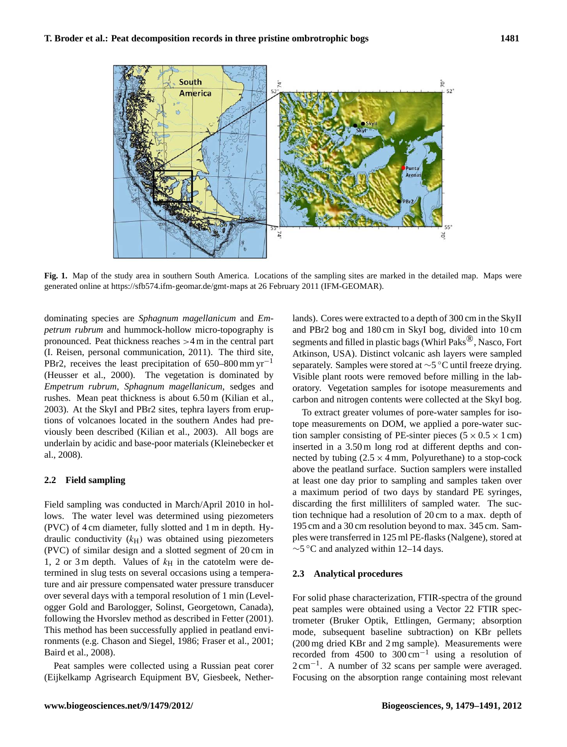

Fig. 1. Map of the study area in southern South America. Locations of the sampling sites are marked in the detailed map. Maps were generated online at <https://sfb574.ifm-geomar.de/gmt-maps> at 26 February 2011 (IFM-GEOMAR).

dominating species are *Sphagnum magellanicum* and *Em*-<br>
lan 6 pronounced. Peat thickness reaches >4 m in the central part PBr2, receives the least precipitation of 650–800 mm yr<sup>-1</sup> *petrum rubrum* and hummock-hollow micro-topography is (I. Reisen, personal communication, 2011). The third site, (Heusser et al., 2000). The vegetation is dominated by *Empetrum rubrum*, *Sphagnum magellanicum*, sedges and rushes. Mean peat thickness is about 6.50 m (Kilian et al., 2003). At the SkyI and PBr2 sites, tephra layers from eruptions of volcanoes located in the southern Andes had previously been described (Kilian et al., 2003). All bogs are underlain by acidic and base-poor materials (Kleinebecker et al., 2008).

#### **2.2 Field sampling**

Field sampling was conducted in March/April 2010 in hollows. The water level was determined using piezometers (PVC) of 4 cm diameter, fully slotted and 1 m in depth. Hydraulic conductivity  $(k_H)$  was obtained using piezometers (PVC) of similar design and a slotted segment of 20 cm in 1, 2 or 3 m depth. Values of  $k<sub>H</sub>$  in the catotelm were determined in slug tests on several occasions using a temperature and air pressure compensated water pressure transducer over several days with a temporal resolution of 1 min (Levelogger Gold and Barologger, Solinst, Georgetown, Canada), following the Hvorslev method as described in Fetter (2001). This method has been successfully applied in peatland environments (e.g. Chason and Siegel, 1986; Fraser et al., 2001; Baird et al., 2008).

Peat samples were collected using a Russian peat corer (Eijkelkamp Agrisearch Equipment BV, Giesbeek, Netherlands). Cores were extracted to a depth of 300 cm in the SkyII and PBr2 bog and 180 cm in SkyI bog, divided into 10 cm segments and filled in plastic bags (Whirl Paks<sup>®</sup>, Nasco, Fort Atkinson, USA). Distinct volcanic ash layers were sampled separately. Samples were stored at ∼5 ◦C until freeze drying. Visible plant roots were removed before milling in the laboratory. Vegetation samples for isotope measurements and carbon and nitrogen contents were collected at the SkyI bog.

To extract greater volumes of pore-water samples for isotope measurements on DOM, we applied a pore-water suction sampler consisting of PE-sinter pieces  $(5 \times 0.5 \times 1 \text{ cm})$ inserted in a 3.50 m long rod at different depths and connected by tubing  $(2.5 \times 4 \text{ mm}, \text{Polyurethane})$  to a stop-cock above the peatland surface. Suction samplers were installed at least one day prior to sampling and samples taken over a maximum period of two days by standard PE syringes, discarding the first milliliters of sampled water. The suction technique had a resolution of 20 cm to a max. depth of 195 cm and a 30 cm resolution beyond to max. 345 cm. Samples were transferred in 125 ml PE-flasks (Nalgene), stored at ∼5 ◦C and analyzed within 12–14 days.

## **2.3 Analytical procedures**

For solid phase characterization, FTIR-spectra of the ground peat samples were obtained using a Vector 22 FTIR spectrometer (Bruker Optik, Ettlingen, Germany; absorption mode, subsequent baseline subtraction) on KBr pellets (200 mg dried KBr and 2 mg sample). Measurements were recorded from 4500 to  $300 \text{ cm}^{-1}$  using a resolution of 2 cm<sup>-1</sup>. A number of 32 scans per sample were averaged. Focusing on the absorption range containing most relevant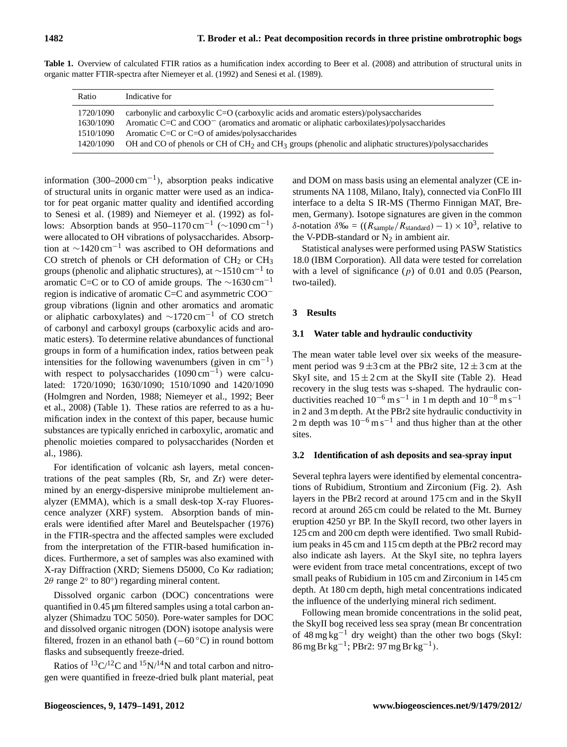| Ratio     | Indicative for                                                                                                               |
|-----------|------------------------------------------------------------------------------------------------------------------------------|
| 1720/1090 | carbonylic and carboxylic $C=O$ (carboxylic acids and aromatic esters)/polysaccharides                                       |
| 1630/1090 | Aromatic $C=C$ and $COO-$ (aromatics and aromatic or aliphatic carboxilates)/polysaccharides                                 |
| 1510/1090 | Aromatic C=C or C=O of amides/polysaccharides                                                                                |
| 1420/1090 | OH and CO of phenols or CH of CH <sub>2</sub> and CH <sub>3</sub> groups (phenolic and aliphatic structures)/polysaccharides |

Table 1. Overview of calculated FTIR ratios as a humification index according to Beer et al. (2008) and attribution of structural units in organic matter FTIR-spectra after Niemeyer et al. (1992) and Senesi et al. (1989).

information  $(300-2000 \text{ cm}^{-1})$ , absorption peaks indicative of structural units in organic matter were used as an indicator for peat organic matter quality and identified according to Senesi et al. (1989) and Niemeyer et al. (1992) as follows: Absorption bands at  $950-1170 \text{ cm}^{-1}$  (~1090 cm<sup>-1</sup>) were allocated to OH vibrations of polysaccharides. Absorption at  $\sim$ 1420 cm<sup>-1</sup> was ascribed to OH deformations and CO stretch of phenols or CH deformation of  $CH<sub>2</sub>$  or  $CH<sub>3</sub>$ groups (phenolic and aliphatic structures), at  $\sim$ 1510 cm<sup>-1</sup> to aromatic C=C or to CO of amide groups. The  $\sim$ 1630 cm<sup>-1</sup> region is indicative of aromatic C=C and asymmetric COO<sup>−</sup> group vibrations (lignin and other aromatics and aromatic or aliphatic carboxylates) and  $\sim$ 1720 cm<sup>-1</sup> of CO stretch of carbonyl and carboxyl groups (carboxylic acids and aromatic esters). To determine relative abundances of functional groups in form of a humification index, ratios between peak intensities for the following wavenumbers (given in  $cm^{-1}$ ) with respect to polysaccharides  $(1090 \text{ cm}^{-1})$  were calculated: 1720/1090; 1630/1090; 1510/1090 and 1420/1090 (Holmgren and Norden, 1988; Niemeyer et al., 1992; Beer et al., 2008) (Table 1). These ratios are referred to as a humification index in the context of this paper, because humic substances are typically enriched in carboxylic, aromatic and phenolic moieties compared to polysaccharides (Norden et al., 1986).

For identification of volcanic ash layers, metal concentrations of the peat samples (Rb, Sr, and Zr) were determined by an energy-dispersive miniprobe multielement analyzer (EMMA), which is a small desk-top X-ray Fluorescence analyzer (XRF) system. Absorption bands of minerals were identified after Marel and Beutelspacher (1976) in the FTIR-spectra and the affected samples were excluded from the interpretation of the FTIR-based humification indices. Furthermore, a set of samples was also examined with X-ray Diffraction (XRD; Siemens D5000, Co Kα radiation;  $2\theta$  range  $2^\circ$  to  $80^\circ$ ) regarding mineral content.

Dissolved organic carbon (DOC) concentrations were quantified in 0.45 µm filtered samples using a total carbon analyzer (Shimadzu TOC 5050). Pore-water samples for DOC and dissolved organic nitrogen (DON) isotope analysis were filtered, frozen in an ethanol bath (−60 ◦C) in round bottom flasks and subsequently freeze-dried.

Ratios of  ${}^{13}C/{}^{12}C$  and  ${}^{15}N/{}^{14}N$  and total carbon and nitrogen were quantified in freeze-dried bulk plant material, peat and DOM on mass basis using an elemental analyzer (CE instruments NA 1108, Milano, Italy), connected via ConFlo III interface to a delta S IR-MS (Thermo Finnigan MAT, Bremen, Germany). Isotope signatures are given in the common δ-notation δ‰ = (( $R_{sample}/R_{standard}$ ) – 1) × 10<sup>3</sup>, relative to the V-PDB-standard or  $N_2$  in ambient air.

Statistical analyses were performed using PASW Statistics 18.0 (IBM Corporation). All data were tested for correlation with a level of significance  $(p)$  of 0.01 and 0.05 (Pearson, two-tailed).

## **3 Results**

## **3.1 Water table and hydraulic conductivity**

The mean water table level over six weeks of the measurement period was  $9 \pm 3$  cm at the PBr2 site,  $12 \pm 3$  cm at the SkyI site, and  $15 \pm 2$  cm at the SkyII site (Table 2). Head recovery in the slug tests was s-shaped. The hydraulic conductivities reached  $10^{-6}$  m s<sup>-1</sup> in 1 m depth and  $10^{-8}$  m s<sup>-1</sup> in 2 and 3 m depth. At the PBr2 site hydraulic conductivity in 2 m depth was  $10^{-6}$  m s<sup>-1</sup> and thus higher than at the other sites.

#### **3.2 Identification of ash deposits and sea-spray input**

Several tephra layers were identified by elemental concentrations of Rubidium, Strontium and Zirconium (Fig. 2). Ash layers in the PBr2 record at around 175 cm and in the SkyII record at around 265 cm could be related to the Mt. Burney eruption 4250 yr BP. In the SkyII record, two other layers in 125 cm and 200 cm depth were identified. Two small Rubidium peaks in 45 cm and 115 cm depth at the PBr2 record may also indicate ash layers. At the SkyI site, no tephra layers were evident from trace metal concentrations, except of two small peaks of Rubidium in 105 cm and Zirconium in 145 cm depth. At 180 cm depth, high metal concentrations indicated the influence of the underlying mineral rich sediment.

Following mean bromide concentrations in the solid peat, the SkyII bog received less sea spray (mean Br concentration of  $48 \text{ mg} \text{ kg}^{-1}$  dry weight) than the other two bogs (SkyI: 86 mg Br kg<sup>-1</sup>; PBr2: 97 mg Br kg<sup>-1</sup>).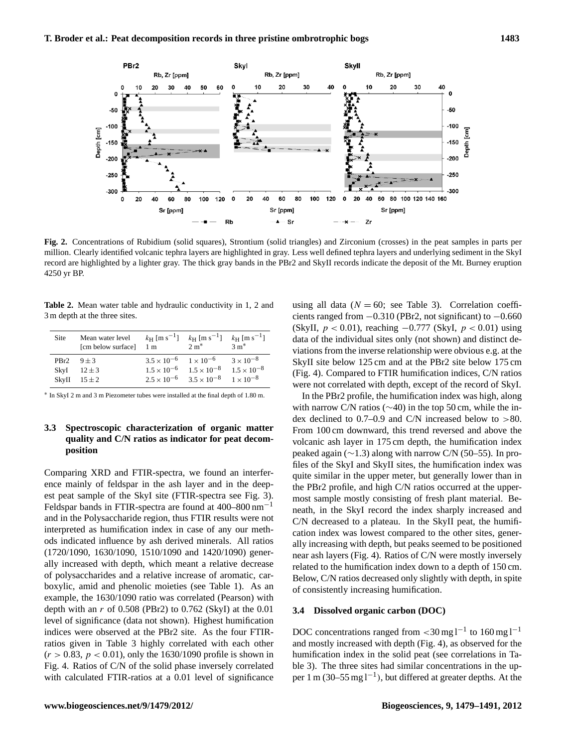

Fig. 2. Concentrations of Rubidium (solid squares), Strontium (solid triangles) and Zirconium (crosses) in the peat samples in parts per record are highlighted by a lighter gray. The thick gray bands in the PBr2 and SkyII records indicate the deposit of the Mt. Burney eruption  $44 H$ . Less well defined tephra layers well defined tephra layers and underlying sediment in the sediment in the sediment in the sediment in the sediment in the sediment in the sediment in the sediment in the sediment in million. Clearly identified volcanic tephra layers are highlighted in gray. Less well defined tephra layers and underlying sediment in the SkyI 4250 yr BP.

**Table 2.** Mean water table and hydraulic conductivity in 1, 2 and using all data  $(N \nabla^2)$  m denth at the three sites 3 m depth at the three sites.

| <b>Site</b> | Mean water level<br>[cm below surface] 1 m        |                                         | $k_{\rm H}$ [m s <sup>-1</sup> ] $k_{\rm H}$ [m s <sup>-1</sup> ]<br>$2 \text{ m}^*$                      | $k_{\rm H}$ [m s <sup>-1</sup> ]<br>$3 \text{ m}^*$ |
|-------------|---------------------------------------------------|-----------------------------------------|-----------------------------------------------------------------------------------------------------------|-----------------------------------------------------|
|             | PBr2 $9+3$<br>SkyI $12 \pm 3$<br>SkvII $15 \pm 2$ | $3.5 \times 10^{-6}$ $1 \times 10^{-6}$ | $1.5 \times 10^{-6}$ $1.5 \times 10^{-8}$<br>$2.5 \times 10^{-6}$ $3.5 \times 10^{-8}$ $1 \times 10^{-8}$ | $3 \times 10^{-8}$<br>$1.5 \times 10^{-8}$          |

∗ In SkyI 2 m and 3 m Piezometer tubes were installed at the final depth of 1.80 m.

# **3.3 Spectroscopic characterization of organic matter quality and C/N ratios as indicator for peat decomposition**

Comparing XRD and FTIR-spectra, we found an interference mainly of feldspar in the ash layer and in the deepest peat sample of the SkyI site (FTIR-spectra see Fig. 3). Feldspar bands in FTIR-spectra are found at 400–800 nm−<sup>1</sup> and in the Polysaccharide region, thus FTIR results were not interpreted as humification index in case of any our methods indicated influence by ash derived minerals. All ratios (1720/1090, 1630/1090, 1510/1090 and 1420/1090) generally increased with depth, which meant a relative decrease of polysaccharides and a relative increase of aromatic, carboxylic, amid and phenolic moieties (see Table 1). As an example, the 1630/1090 ratio was correlated (Pearson) with depth with an  $r$  of 0.508 (PBr2) to 0.762 (SkyI) at the 0.01 level of significance (data not shown). Highest humification indices were observed at the PBr2 site. As the four FTIRratios given in Table 3 highly correlated with each other  $(r > 0.83, p < 0.01)$ , only the 1630/1090 profile is shown in Fig. 4. Ratios of C/N of the solid phase inversely correlated with calculated FTIR-ratios at a 0.01 level of significance using all data ( $N = 60$ ; see Table 3). Correlation coefficients ranged from −0.310 (PBr2, not significant) to −0.660 (SkyII,  $p < 0.01$ ), reaching  $-0.777$  (SkyI,  $p < 0.01$ ) using data of the individual sites only (not shown) and distinct deviations from the inverse relationship were obvious e.g. at the SkyII site below 125 cm and at the PBr2 site below 175 cm (Fig. 4). Compared to FTIR humification indices, C/N ratios were not correlated with depth, except of the record of SkyI.

In the PBr2 profile, the humification index was high, along with narrow C/N ratios (∼40) in the top 50 cm, while the index declined to  $0.7-0.9$  and C/N increased below to  $>80$ . From 100 cm downward, this trend reversed and above the volcanic ash layer in 175 cm depth, the humification index peaked again (∼1.3) along with narrow C/N (50–55). In profiles of the SkyI and SkyII sites, the humification index was quite similar in the upper meter, but generally lower than in the PBr2 profile, and high C/N ratios occurred at the uppermost sample mostly consisting of fresh plant material. Beneath, in the SkyI record the index sharply increased and C/N decreased to a plateau. In the SkyII peat, the humification index was lowest compared to the other sites, generally increasing with depth, but peaks seemed to be positioned near ash layers (Fig. 4). Ratios of C/N were mostly inversely related to the humification index down to a depth of 150 cm. Below, C/N ratios decreased only slightly with depth, in spite of consistently increasing humification.

#### **3.4 Dissolved organic carbon (DOC)**

DOC concentrations ranged from  $\lt 30$  mg l<sup>-1</sup> to 160 mg l<sup>-1</sup> and mostly increased with depth (Fig. 4), as observed for the humification index in the solid peat (see correlations in Table 3). The three sites had similar concentrations in the upper 1 m (30–55 mg l<sup>-1</sup>), but differed at greater depths. At the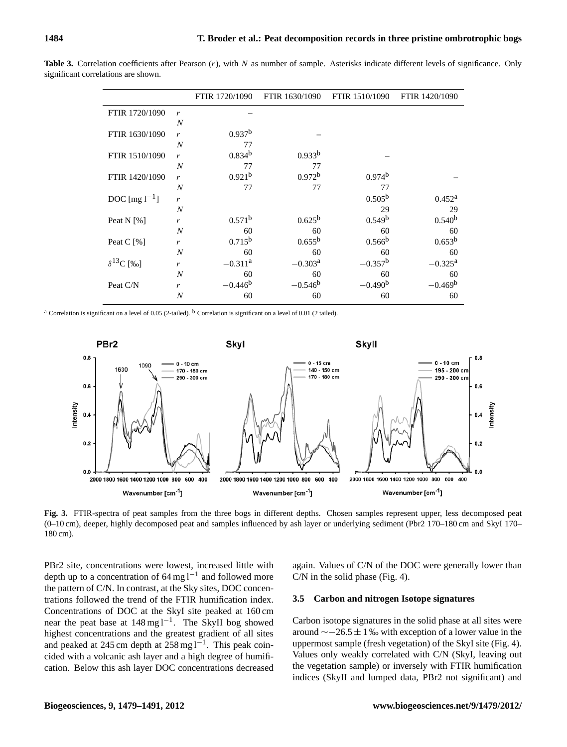|                          |                  | FTIR 1720/1090        | FTIR 1630/1090        | FTIR 1510/1090     | FTIR 1420/1090        |
|--------------------------|------------------|-----------------------|-----------------------|--------------------|-----------------------|
| FTIR 1720/1090           | $\mathbf{r}$     |                       |                       |                    |                       |
|                          | $\boldsymbol{N}$ |                       |                       |                    |                       |
| FTIR 1630/1090           | $\mathbf{r}$     | 0.937 <sup>b</sup>    |                       |                    |                       |
|                          | $\boldsymbol{N}$ | 77                    |                       |                    |                       |
| FTIR 1510/1090           | r                | $0.834^{b}$           | 0.933 <sup>b</sup>    |                    |                       |
|                          | $\boldsymbol{N}$ | 77                    | 77                    |                    |                       |
| FTIR 1420/1090           | r                | 0.921 <sup>b</sup>    | 0.972 <sup>b</sup>    | 0.974 <sup>b</sup> |                       |
|                          | $\boldsymbol{N}$ | 77                    | 77                    | 77                 |                       |
| DOC [ $mg1^{-1}$ ]       | r                |                       |                       | $0.505^{\rm b}$    | $0.452^{\rm a}$       |
|                          | $\boldsymbol{N}$ |                       |                       | 29                 | 29                    |
| Peat N $\lceil\% \rceil$ | r                | $0.571^{\rm b}$       | $0.625^{b}$           | 0.549 <sup>b</sup> | $0.540^{b}$           |
|                          | $\boldsymbol{N}$ | 60                    | 60                    | 60                 | 60                    |
| Peat C $\lceil\% \rceil$ | r                | $0.715^{b}$           | $0.655^{b}$           | 0.566 <sup>b</sup> | $0.653^{b}$           |
|                          | $\boldsymbol{N}$ | 60                    | 60                    | 60                 | 60                    |
| $\delta^{13}C$ [‰]       | r                | $-0.311$ <sup>a</sup> | $-0.303$ <sup>a</sup> | $-0.357^{\rm b}$   | $-0.325$ <sup>a</sup> |
|                          | $\overline{N}$   | 60                    | 60                    | 60                 | 60                    |
| Peat C/N                 | r                | $-0.446^{\rm b}$      | $-0.546^b$            | $-0.490b$          | $-0.469b$             |
|                          | $\overline{N}$   | 60                    | 60                    | 60                 | 60                    |

**Table 3.** Correlation coefficients after Pearson (r), with N as number of sample. Asterisks indicate different levels of significance. Only significant correlations are shown.

<sup>a</sup> Correlation is significant on a level of 0.05 (2-tailed). <sup>b</sup> Correlation is significant on a level of 0.01 (2 tailed).



Fig. 3. FTIR-spectra of peat samples from the three bogs in different depths. Chosen samples represent upper, less decomposed peat  $(0.10 \text{ m})$ , decay is help decomposed peat of course influenced by set lever as we delive  $180 \text{ cm}$ ). (0–10 cm), deeper, highly decomposed peat and samples influenced by ash layer or underlying sediment (Pbr2 170–180 cm and SkyI 170– 180 cm).

depth up to a concentration of 64 mg  $l^{-1}$  and followed more 6 trations followed the trend of the FTIR humification index. near the peat base at  $148 \text{ mg l}^{-1}$ . The SkyII bog showed PBr2 site, concentrations were lowest, increased little with the pattern of C/N. In contrast, at the Sky sites, DOC concen-Concentrations of DOC at the SkyI site peaked at 160 cm highest concentrations and the greatest gradient of all sites and peaked at 245 cm depth at 258 mg l<sup>-1</sup>. This peak coincided with a volcanic ash layer and a high degree of humification. Below this ash layer DOC concentrations decreased again. Values of C/N of the DOC were generally lower than C/N in the solid phase (Fig. 4).

#### **3.5 Carbon and nitrogen Isotope signatures**

Carbon isotope signatures in the solid phase at all sites were around  $\sim$ −26.5 ± 1 ‰ with exception of a lower value in the uppermost sample (fresh vegetation) of the SkyI site (Fig. 4). Values only weakly correlated with C/N (SkyI, leaving out the vegetation sample) or inversely with FTIR humification indices (SkyII and lumped data, PBr2 not significant) and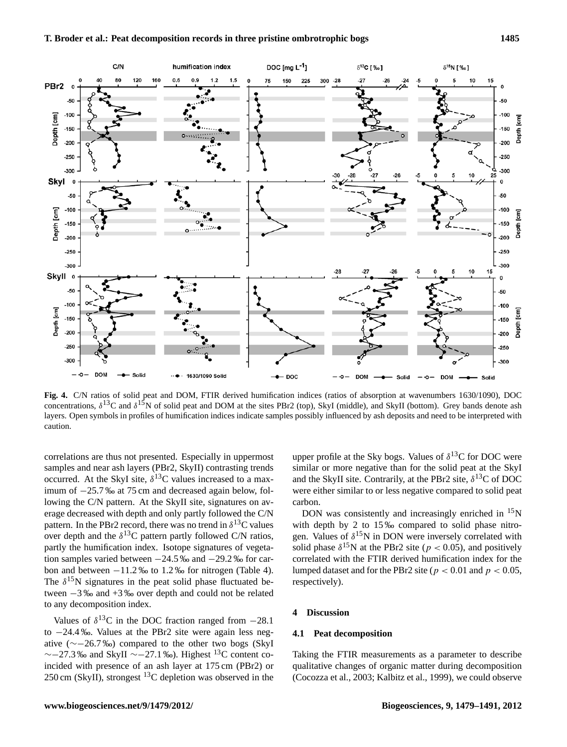

**Fig. 4.** C/N ratios of solid peat and DOM, FTIR derived humification indices (ratios of absorption at wavenumbers 1630/1090), DOC concentrations,  $\delta^{13}C$  and  $\delta^{15}N$  of solid peat and DOM at the sites PBr2 (top), SkyI (middle), and SkyII (bottom). Grey bands denote ash layers. Open symbols in profiles of humification indices indicate samples possibly influenced by ash deposits and need to be interpreted with caution.

correlations are thus not presented. Especially in uppermost samples and near ash layers (PBr2, SkyII) contrasting trends occurred. At the SkyI site,  $\delta^{13}$ C values increased to a maximum of −25.7 ‰ at 75 cm and decreased again below, following the C/N pattern. At the SkyII site, signatures on average decreased with depth and only partly followed the C/N pattern. In the PBr2 record, there was no trend in  $\delta^{13}$ C values over depth and the  $\delta^{13}$ C pattern partly followed C/N ratios, partly the humification index. Isotope signatures of vegetation samples varied between −24.5 ‰ and −29.2 ‰ for carbon and between −11.2 ‰ to 1.2 ‰ for nitrogen (Table 4). The  $\delta^{15}$ N signatures in the peat solid phase fluctuated between −3 ‰ and +3 ‰ over depth and could not be related to any decomposition index.

Values of  $\delta^{13}$ C in the DOC fraction ranged from  $-28.1$ to −24.4 ‰. Values at the PBr2 site were again less negative (∼−26.7 ‰) compared to the other two bogs (SkyI  $\sim$ −27.3‰ and SkyII  $\sim$ −27.1‰). Highest <sup>13</sup>C content coincided with presence of an ash layer at 175 cm (PBr2) or  $250 \text{ cm}$  (SkyII), strongest <sup>13</sup>C depletion was observed in the

upper profile at the Sky bogs. Values of  $\delta^{13}C$  for DOC were similar or more negative than for the solid peat at the SkyI and the SkyII site. Contrarily, at the PBr2 site,  $\delta^{13}$ C of DOC were either similar to or less negative compared to solid peat carbon.

DON was consistently and increasingly enriched in  $15N$ with depth by 2 to 15 ‰ compared to solid phase nitrogen. Values of  $\delta^{15}N$  in DON were inversely correlated with solid phase  $\delta^{15}$ N at the PBr2 site ( $p < 0.05$ ), and positively correlated with the FTIR derived humification index for the lumped dataset and for the PBr2 site ( $p < 0.01$  and  $p < 0.05$ , respectively).

#### **4 Discussion**

## **4.1 Peat decomposition**

Taking the FTIR measurements as a parameter to describe qualitative changes of organic matter during decomposition (Cocozza et al., 2003; Kalbitz et al., 1999), we could observe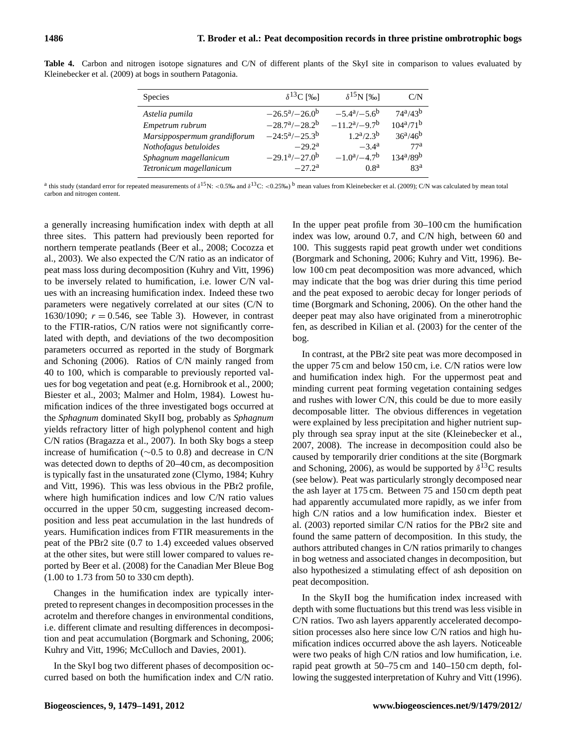| <b>Species</b>               | $\delta^{13}C$ [‰] | $\delta^{15}$ N [‰]                | C/N             |
|------------------------------|--------------------|------------------------------------|-----------------|
| Astelia pumila               | $-26.5^a/-26.0^b$  | $-5.4^a/-5.6^b$                    | $74^a/43^b$     |
| Empetrum rubrum              | $-28.7^a/-28.2^b$  | $-11.2^a/-9.7^b$                   | $104^a/71^b$    |
| Marsippospermum grandiflorum | $-24:5^a(-25.3^b)$ | 1.2 <sup>a</sup> /2.3 <sup>b</sup> | $36^a/46^b$     |
| Nothofagus betuloides        | $-29.2^{\rm a}$    | $-3.4^{a}$                         | 77 <sup>a</sup> |
| Sphagnum magellanicum        | $-29.1^a/-27.0^b$  | $-1.0^a/-4.7^b$                    | $134^a/89^b$    |
| Tetronicum magellanicum      | $-27.2^{\circ}$    | 0.8 <sup>a</sup>                   | 83 <sup>a</sup> |

**Table 4.** Carbon and nitrogen isotope signatures and C/N of different plants of the SkyI site in comparison to values evaluated by Kleinebecker et al. (2009) at bogs in southern Patagonia.

<sup>a</sup> this study (standard error for repeated measurements of  $\delta^{15}N$ : <0.5‰ and  $\delta^{13}C$ : <0.25‰) <sup>b</sup> mean values from Kleinebecker et al. (2009); C/N was calculated by mean total carbon and nitrogen content.

a generally increasing humification index with depth at all three sites. This pattern had previously been reported for northern temperate peatlands (Beer et al., 2008; Cocozza et al., 2003). We also expected the C/N ratio as an indicator of peat mass loss during decomposition (Kuhry and Vitt, 1996) to be inversely related to humification, i.e. lower C/N values with an increasing humification index. Indeed these two parameters were negatively correlated at our sites (C/N to 1630/1090;  $r = 0.546$ , see Table 3). However, in contrast to the FTIR-ratios, C/N ratios were not significantly correlated with depth, and deviations of the two decomposition parameters occurred as reported in the study of Borgmark and Schoning (2006). Ratios of C/N mainly ranged from 40 to 100, which is comparable to previously reported values for bog vegetation and peat (e.g. Hornibrook et al., 2000; Biester et al., 2003; Malmer and Holm, 1984). Lowest humification indices of the three investigated bogs occurred at the *Sphagnum* dominated SkyII bog, probably as *Sphagnum* yields refractory litter of high polyphenol content and high C/N ratios (Bragazza et al., 2007). In both Sky bogs a steep increase of humification (∼0.5 to 0.8) and decrease in C/N was detected down to depths of 20–40 cm, as decomposition is typically fast in the unsaturated zone (Clymo, 1984; Kuhry and Vitt, 1996). This was less obvious in the PBr2 profile, where high humification indices and low C/N ratio values occurred in the upper 50 cm, suggesting increased decomposition and less peat accumulation in the last hundreds of years. Humification indices from FTIR measurements in the peat of the PBr2 site (0.7 to 1.4) exceeded values observed at the other sites, but were still lower compared to values reported by Beer et al. (2008) for the Canadian Mer Bleue Bog (1.00 to 1.73 from 50 to 330 cm depth).

Changes in the humification index are typically interpreted to represent changes in decomposition processes in the acrotelm and therefore changes in environmental conditions, i.e. different climate and resulting differences in decomposition and peat accumulation (Borgmark and Schoning, 2006; Kuhry and Vitt, 1996; McCulloch and Davies, 2001).

In the SkyI bog two different phases of decomposition occurred based on both the humification index and C/N ratio. In the upper peat profile from 30–100 cm the humification index was low, around 0.7, and C/N high, between 60 and 100. This suggests rapid peat growth under wet conditions (Borgmark and Schoning, 2006; Kuhry and Vitt, 1996). Below 100 cm peat decomposition was more advanced, which may indicate that the bog was drier during this time period and the peat exposed to aerobic decay for longer periods of time (Borgmark and Schoning, 2006). On the other hand the deeper peat may also have originated from a minerotrophic fen, as described in Kilian et al. (2003) for the center of the bog.

In contrast, at the PBr2 site peat was more decomposed in the upper 75 cm and below 150 cm, i.e. C/N ratios were low and humification index high. For the uppermost peat and minding current peat forming vegetation containing sedges and rushes with lower C/N, this could be due to more easily decomposable litter. The obvious differences in vegetation were explained by less precipitation and higher nutrient supply through sea spray input at the site (Kleinebecker et al., 2007, 2008). The increase in decomposition could also be caused by temporarily drier conditions at the site (Borgmark and Schoning, 2006), as would be supported by  $\delta^{13}$ C results (see below). Peat was particularly strongly decomposed near the ash layer at 175 cm. Between 75 and 150 cm depth peat had apparently accumulated more rapidly, as we infer from high C/N ratios and a low humification index. Biester et al. (2003) reported similar C/N ratios for the PBr2 site and found the same pattern of decomposition. In this study, the authors attributed changes in C/N ratios primarily to changes in bog wetness and associated changes in decomposition, but also hypothesized a stimulating effect of ash deposition on peat decomposition.

In the SkyII bog the humification index increased with depth with some fluctuations but this trend was less visible in C/N ratios. Two ash layers apparently accelerated decomposition processes also here since low C/N ratios and high humification indices occurred above the ash layers. Noticeable were two peaks of high C/N ratios and low humification, i.e. rapid peat growth at 50–75 cm and 140–150 cm depth, following the suggested interpretation of Kuhry and Vitt (1996).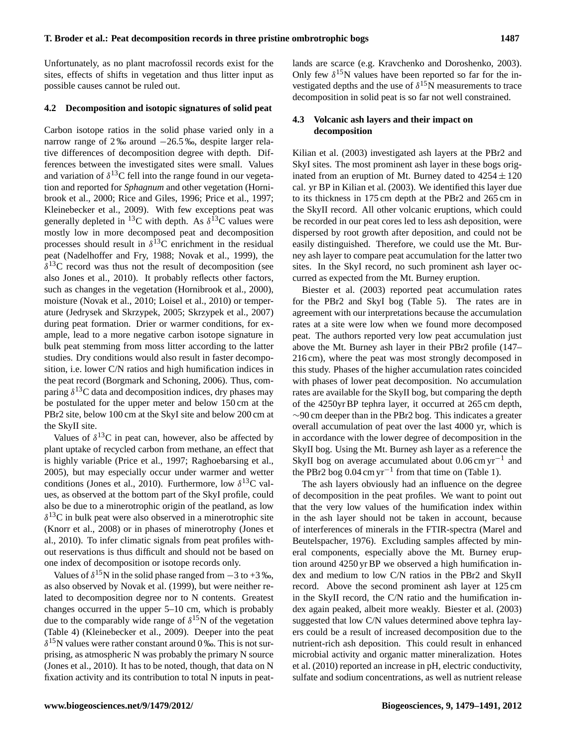Unfortunately, as no plant macrofossil records exist for the sites, effects of shifts in vegetation and thus litter input as possible causes cannot be ruled out.

## **4.2 Decomposition and isotopic signatures of solid peat**

Carbon isotope ratios in the solid phase varied only in a narrow range of 2‰ around −26.5 ‰, despite larger relative differences of decomposition degree with depth. Differences between the investigated sites were small. Values and variation of  $\delta^{13}$ C fell into the range found in our vegetation and reported for *Sphagnum* and other vegetation (Hornibrook et al., 2000; Rice and Giles, 1996; Price et al., 1997; Kleinebecker et al., 2009). With few exceptions peat was generally depleted in <sup>13</sup>C with depth. As  $\delta^{13}$ C values were mostly low in more decomposed peat and decomposition processes should result in  $\delta^{13}$ C enrichment in the residual peat (Nadelhoffer and Fry, 1988; Novak et al., 1999), the  $\delta^{13}$ C record was thus not the result of decomposition (see also Jones et al., 2010). It probably reflects other factors, such as changes in the vegetation (Hornibrook et al., 2000), moisture (Novak et al., 2010; Loisel et al., 2010) or temperature (Jedrysek and Skrzypek, 2005; Skrzypek et al., 2007) during peat formation. Drier or warmer conditions, for example, lead to a more negative carbon isotope signature in bulk peat stemming from moss litter according to the latter studies. Dry conditions would also result in faster decomposition, i.e. lower C/N ratios and high humification indices in the peat record (Borgmark and Schoning, 2006). Thus, comparing  $\delta^{13}$ C data and decomposition indices, dry phases may be postulated for the upper meter and below 150 cm at the PBr2 site, below 100 cm at the SkyI site and below 200 cm at the SkyII site.

Values of  $\delta^{13}$ C in peat can, however, also be affected by plant uptake of recycled carbon from methane, an effect that is highly variable (Price et al., 1997; Raghoebarsing et al., 2005), but may especially occur under warmer and wetter conditions (Jones et al., 2010). Furthermore, low  $\delta^{13}C$  values, as observed at the bottom part of the SkyI profile, could also be due to a minerotrophic origin of the peatland, as low  $\delta^{13}$ C in bulk peat were also observed in a minerotrophic site (Knorr et al., 2008) or in phases of minerotrophy (Jones et al., 2010). To infer climatic signals from peat profiles without reservations is thus difficult and should not be based on one index of decomposition or isotope records only.

Values of  $\delta^{15}$ N in the solid phase ranged from  $-3$  to  $+3$  ‰, as also observed by Novak et al. (1999), but were neither related to decomposition degree nor to N contents. Greatest changes occurred in the upper 5–10 cm, which is probably due to the comparably wide range of  $\delta^{15}$ N of the vegetation (Table 4) (Kleinebecker et al., 2009). Deeper into the peat  $\delta^{15}$ N values were rather constant around 0 ‰. This is not surprising, as atmospheric N was probably the primary N source (Jones et al., 2010). It has to be noted, though, that data on N fixation activity and its contribution to total N inputs in peatlands are scarce (e.g. Kravchenko and Doroshenko, 2003). Only few  $\delta^{15}$ N values have been reported so far for the investigated depths and the use of  $\delta^{15}$ N measurements to trace decomposition in solid peat is so far not well constrained.

## **4.3 Volcanic ash layers and their impact on decomposition**

Kilian et al. (2003) investigated ash layers at the PBr2 and SkyI sites. The most prominent ash layer in these bogs originated from an eruption of Mt. Burney dated to  $4254 \pm 120$ cal. yr BP in Kilian et al. (2003). We identified this layer due to its thickness in 175 cm depth at the PBr2 and 265 cm in the SkyII record. All other volcanic eruptions, which could be recorded in our peat cores led to less ash deposition, were dispersed by root growth after deposition, and could not be easily distinguished. Therefore, we could use the Mt. Burney ash layer to compare peat accumulation for the latter two sites. In the SkyI record, no such prominent ash layer occurred as expected from the Mt. Burney eruption.

Biester et al. (2003) reported peat accumulation rates for the PBr2 and SkyI bog (Table 5). The rates are in agreement with our interpretations because the accumulation rates at a site were low when we found more decomposed peat. The authors reported very low peat accumulation just above the Mt. Burney ash layer in their PBr2 profile (147– 216 cm), where the peat was most strongly decomposed in this study. Phases of the higher accumulation rates coincided with phases of lower peat decomposition. No accumulation rates are available for the SkyII bog, but comparing the depth of the 4250yr BP tephra layer, it occurred at 265 cm depth, ∼90 cm deeper than in the PBr2 bog. This indicates a greater overall accumulation of peat over the last 4000 yr, which is in accordance with the lower degree of decomposition in the SkyII bog. Using the Mt. Burney ash layer as a reference the SkyII bog on average accumulated about 0.06 cm yr−<sup>1</sup> and the PBr2 bog  $0.04 \text{ cm yr}^{-1}$  from that time on (Table 1).

The ash layers obviously had an influence on the degree of decomposition in the peat profiles. We want to point out that the very low values of the humification index within in the ash layer should not be taken in account, because of interferences of minerals in the FTIR-spectra (Marel and Beutelspacher, 1976). Excluding samples affected by mineral components, especially above the Mt. Burney eruption around 4250 yr BP we observed a high humification index and medium to low C/N ratios in the PBr2 and SkyII record. Above the second prominent ash layer at 125 cm in the SkyII record, the C/N ratio and the humification index again peaked, albeit more weakly. Biester et al. (2003) suggested that low C/N values determined above tephra layers could be a result of increased decomposition due to the nutrient-rich ash deposition. This could result in enhanced microbial activity and organic matter mineralization. Hotes et al. (2010) reported an increase in pH, electric conductivity, sulfate and sodium concentrations, as well as nutrient release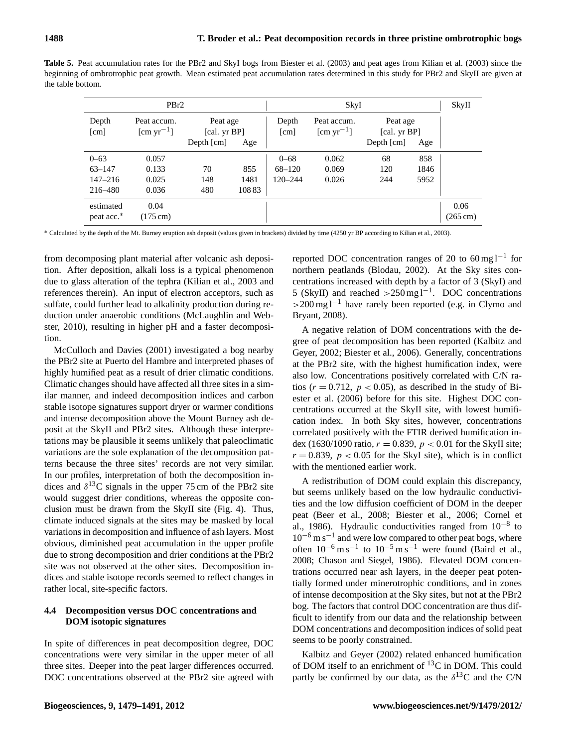**Table 5.** Peat accumulation rates for the PBr2 and SkyI bogs from Biester et al. (2003) and peat ages from Kilian et al. (2003) since the beginning of ombrotrophic peat growth. Mean estimated peat accumulation rates determined in this study for PBr2 and SkyII are given at the table bottom.

| PBr2          |                                         |                                    |       | SkyI                          |                                                  |                            |      | SkyII              |
|---------------|-----------------------------------------|------------------------------------|-------|-------------------------------|--------------------------------------------------|----------------------------|------|--------------------|
| Depth<br>[cm] | Peat accum.<br>$\mathrm{[cm\ yr^{-1}]}$ | Peat age<br>[cal. $\text{yr }BP$ ] |       | Depth<br>$\lceil$ cm $\rceil$ | Peat accum.<br>$\mathrm{cm}\,\mathrm{yr}^{-1}$ ] | Peat age<br>[cal. yr BP]   |      |                    |
|               |                                         | Depth $\lceil$ cm $\rceil$         | Age   |                               |                                                  | Depth $\lceil$ cm $\rceil$ | Age  |                    |
| $0 - 63$      | 0.057                                   |                                    |       | $0 - 68$                      | 0.062                                            | 68                         | 858  |                    |
| $63 - 147$    | 0.133                                   | 70                                 | 855   | $68 - 120$                    | 0.069                                            | 120                        | 1846 |                    |
| $147 - 216$   | 0.025                                   | 148                                | 1481  | $120 - 244$                   | 0.026                                            | 244                        | 5952 |                    |
| 216-480       | 0.036                                   | 480                                | 10883 |                               |                                                  |                            |      |                    |
| estimated     | 0.04                                    |                                    |       |                               |                                                  |                            |      | 0.06               |
| peat acc.*    | $(175 \text{ cm})$                      |                                    |       |                               |                                                  |                            |      | $(265 \text{ cm})$ |

<sup>∗</sup> Calculated by the depth of the Mt. Burney eruption ash deposit (values given in brackets) divided by time (4250 yr BP according to Kilian et al., 2003).

from decomposing plant material after volcanic ash deposition. After deposition, alkali loss is a typical phenomenon due to glass alteration of the tephra (Kilian et al., 2003 and references therein). An input of electron acceptors, such as sulfate, could further lead to alkalinity production during reduction under anaerobic conditions (McLaughlin and Webster, 2010), resulting in higher pH and a faster decomposition.

McCulloch and Davies (2001) investigated a bog nearby the PBr2 site at Puerto del Hambre and interpreted phases of highly humified peat as a result of drier climatic conditions. Climatic changes should have affected all three sites in a similar manner, and indeed decomposition indices and carbon stable isotope signatures support dryer or warmer conditions and intense decomposition above the Mount Burney ash deposit at the SkyII and PBr2 sites. Although these interpretations may be plausible it seems unlikely that paleoclimatic variations are the sole explanation of the decomposition patterns because the three sites' records are not very similar. In our profiles, interpretation of both the decomposition indices and  $\delta^{13}$ C signals in the upper 75 cm of the PBr2 site would suggest drier conditions, whereas the opposite conclusion must be drawn from the SkyII site (Fig. 4). Thus, climate induced signals at the sites may be masked by local variations in decomposition and influence of ash layers. Most obvious, diminished peat accumulation in the upper profile due to strong decomposition and drier conditions at the PBr2 site was not observed at the other sites. Decomposition indices and stable isotope records seemed to reflect changes in rather local, site-specific factors.

# **4.4 Decomposition versus DOC concentrations and DOM isotopic signatures**

In spite of differences in peat decomposition degree, DOC concentrations were very similar in the upper meter of all three sites. Deeper into the peat larger differences occurred. DOC concentrations observed at the PBr2 site agreed with

reported DOC concentration ranges of 20 to  $60 \text{ mg} 1^{-1}$  for northern peatlands (Blodau, 2002). At the Sky sites concentrations increased with depth by a factor of 3 (SkyI) and 5 (SkyII) and reached >250 mg  $l^{-1}$ . DOC concentrations >200 mg l<sup>-1</sup> have rarely been reported (e.g. in Clymo and Bryant, 2008).

A negative relation of DOM concentrations with the degree of peat decomposition has been reported (Kalbitz and Geyer, 2002; Biester et al., 2006). Generally, concentrations at the PBr2 site, with the highest humification index, were also low. Concentrations positively correlated with C/N ratios ( $r = 0.712$ ,  $p < 0.05$ ), as described in the study of Biester et al. (2006) before for this site. Highest DOC concentrations occurred at the SkyII site, with lowest humification index. In both Sky sites, however, concentrations correlated positively with the FTIR derived humification index (1630/1090 ratio,  $r = 0.839$ ,  $p < 0.01$  for the SkyII site;  $r = 0.839$ ,  $p < 0.05$  for the SkyI site), which is in conflict with the mentioned earlier work.

A redistribution of DOM could explain this discrepancy, but seems unlikely based on the low hydraulic conductivities and the low diffusion coefficient of DOM in the deeper peat (Beer et al., 2008; Biester et al., 2006; Cornel et al., 1986). Hydraulic conductivities ranged from  $10^{-8}$  to 10−<sup>6</sup> m s−<sup>1</sup> and were low compared to other peat bogs, where often  $10^{-6}$  m s<sup>-1</sup> to  $10^{-5}$  m s<sup>-1</sup> were found (Baird et al., 2008; Chason and Siegel, 1986). Elevated DOM concentrations occurred near ash layers, in the deeper peat potentially formed under minerotrophic conditions, and in zones of intense decomposition at the Sky sites, but not at the PBr2 bog. The factors that control DOC concentration are thus difficult to identify from our data and the relationship between DOM concentrations and decomposition indices of solid peat seems to be poorly constrained.

Kalbitz and Geyer (2002) related enhanced humification of DOM itself to an enrichment of <sup>13</sup>C in DOM. This could partly be confirmed by our data, as the  $\delta^{13}$ C and the C/N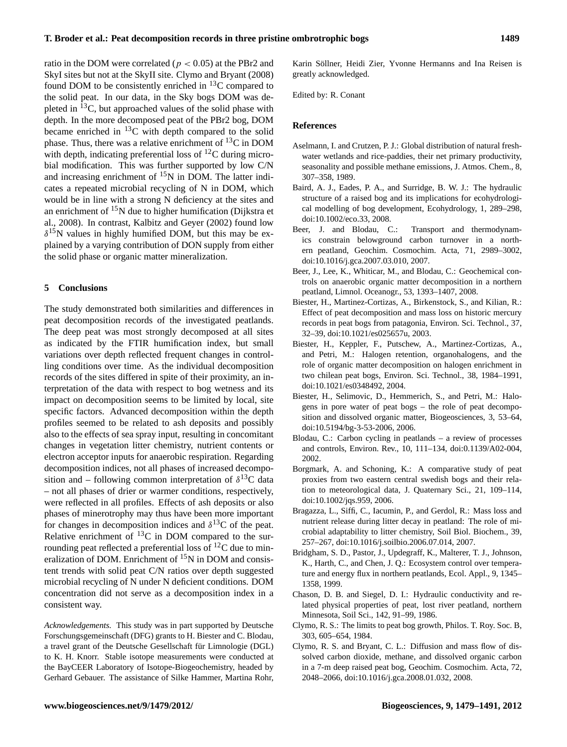ratio in the DOM were correlated ( $p < 0.05$ ) at the PBr2 and SkyI sites but not at the SkyII site. Clymo and Bryant (2008) found DOM to be consistently enriched in  $^{13}$ C compared to the solid peat. In our data, in the Sky bogs DOM was depleted in  $^{13}$ C, but approached values of the solid phase with depth. In the more decomposed peat of the PBr2 bog, DOM became enriched in  $^{13}$ C with depth compared to the solid phase. Thus, there was a relative enrichment of  $^{13}$ C in DOM with depth, indicating preferential loss of  ${}^{12}C$  during microbial modification. This was further supported by low C/N and increasing enrichment of  ${}^{15}N$  in DOM. The latter indicates a repeated microbial recycling of N in DOM, which would be in line with a strong N deficiency at the sites and an enrichment of  $15N$  due to higher humification (Dijkstra et al., 2008). In contrast, Kalbitz and Geyer (2002) found low  $\delta^{15}$ N values in highly humified DOM, but this may be explained by a varying contribution of DON supply from either the solid phase or organic matter mineralization.

## **5 Conclusions**

The study demonstrated both similarities and differences in peat decomposition records of the investigated peatlands. The deep peat was most strongly decomposed at all sites as indicated by the FTIR humification index, but small variations over depth reflected frequent changes in controlling conditions over time. As the individual decomposition records of the sites differed in spite of their proximity, an interpretation of the data with respect to bog wetness and its impact on decomposition seems to be limited by local, site specific factors. Advanced decomposition within the depth profiles seemed to be related to ash deposits and possibly also to the effects of sea spray input, resulting in concomitant changes in vegetation litter chemistry, nutrient contents or electron acceptor inputs for anaerobic respiration. Regarding decomposition indices, not all phases of increased decomposition and – following common interpretation of  $\delta^{13}$ C data – not all phases of drier or warmer conditions, respectively, were reflected in all profiles. Effects of ash deposits or also phases of minerotrophy may thus have been more important for changes in decomposition indices and  $\delta^{13}$ C of the peat. Relative enrichment of  ${}^{13}C$  in DOM compared to the surrounding peat reflected a preferential loss of  ${}^{12}C$  due to mineralization of DOM. Enrichment of <sup>15</sup>N in DOM and consistent trends with solid peat C/N ratios over depth suggested microbial recycling of N under N deficient conditions. DOM concentration did not serve as a decomposition index in a consistent way.

*Acknowledgements.* This study was in part supported by Deutsche Forschungsgemeinschaft (DFG) grants to H. Biester and C. Blodau, a travel grant of the Deutsche Gesellschaft für Limnologie (DGL) to K. H. Knorr. Stable isotope measurements were conducted at the BayCEER Laboratory of Isotope-Biogeochemistry, headed by Gerhard Gebauer. The assistance of Silke Hammer, Martina Rohr,

Karin Söllner, Heidi Zier, Yvonne Hermanns and Ina Reisen is greatly acknowledged.

Edited by: R. Conant

#### **References**

- Aselmann, I. and Crutzen, P. J.: Global distribution of natural freshwater wetlands and rice-paddies, their net primary productivity, seasonality and possible methane emissions, J. Atmos. Chem., 8, 307–358, 1989.
- Baird, A. J., Eades, P. A., and Surridge, B. W. J.: The hydraulic structure of a raised bog and its implications for ecohydrological modelling of bog development, Ecohydrology, 1, 289–298, [doi:10.1002/eco.33,](http://dx.doi.org/10.1002/eco.33) 2008.<br>Beer, J. and Blodau, C.:
- Transport and thermodynamics constrain belowground carbon turnover in a northern peatland, Geochim. Cosmochim. Acta, 71, 2989–3002, [doi:10.1016/j.gca.2007.03.010,](http://dx.doi.org/10.1016/j.gca.2007.03.010) 2007.
- Beer, J., Lee, K., Whiticar, M., and Blodau, C.: Geochemical controls on anaerobic organic matter decomposition in a northern peatland, Limnol. Oceanogr., 53, 1393–1407, 2008.
- Biester, H., Martinez-Cortizas, A., Birkenstock, S., and Kilian, R.: Effect of peat decomposition and mass loss on historic mercury records in peat bogs from patagonia, Environ. Sci. Technol., 37, 32–39, [doi:10.1021/es025657u,](http://dx.doi.org/10.1021/es025657u) 2003.
- Biester, H., Keppler, F., Putschew, A., Martinez-Cortizas, A., and Petri, M.: Halogen retention, organohalogens, and the role of organic matter decomposition on halogen enrichment in two chilean peat bogs, Environ. Sci. Technol., 38, 1984–1991, [doi:10.1021/es0348492,](http://dx.doi.org/10.1021/es0348492) 2004.
- Biester, H., Selimovic, D., Hemmerich, S., and Petri, M.: Halogens in pore water of peat bogs – the role of peat decomposition and dissolved organic matter, Biogeosciences, 3, 53–64, [doi:10.5194/bg-3-53-2006,](http://dx.doi.org/10.5194/bg-3-53-2006) 2006.
- Blodau, C.: Carbon cycling in peatlands a review of processes and controls, Environ. Rev., 10, 111–134, doi:0.1139/A02-004, 2002.
- Borgmark, A. and Schoning, K.: A comparative study of peat proxies from two eastern central swedish bogs and their relation to meteorological data, J. Quaternary Sci., 21, 109–114, [doi:10.1002/jqs.959,](http://dx.doi.org/10.1002/jqs.959) 2006.
- Bragazza, L., Siffi, C., Iacumin, P., and Gerdol, R.: Mass loss and nutrient release during litter decay in peatland: The role of microbial adaptability to litter chemistry, Soil Biol. Biochem., 39, 257–267, [doi:10.1016/j.soilbio.2006.07.014,](http://dx.doi.org/10.1016/j.soilbio.2006.07.014) 2007.
- Bridgham, S. D., Pastor, J., Updegraff, K., Malterer, T. J., Johnson, K., Harth, C., and Chen, J. Q.: Ecosystem control over temperature and energy flux in northern peatlands, Ecol. Appl., 9, 1345– 1358, 1999.
- Chason, D. B. and Siegel, D. I.: Hydraulic conductivity and related physical properties of peat, lost river peatland, northern Minnesota, Soil Sci., 142, 91–99, 1986.
- Clymo, R. S.: The limits to peat bog growth, Philos. T. Roy. Soc. B, 303, 605–654, 1984.
- Clymo, R. S. and Bryant, C. L.: Diffusion and mass flow of dissolved carbon dioxide, methane, and dissolved organic carbon in a 7-m deep raised peat bog, Geochim. Cosmochim. Acta, 72, 2048–2066, [doi:10.1016/j.gca.2008.01.032,](http://dx.doi.org/10.1016/j.gca.2008.01.032) 2008.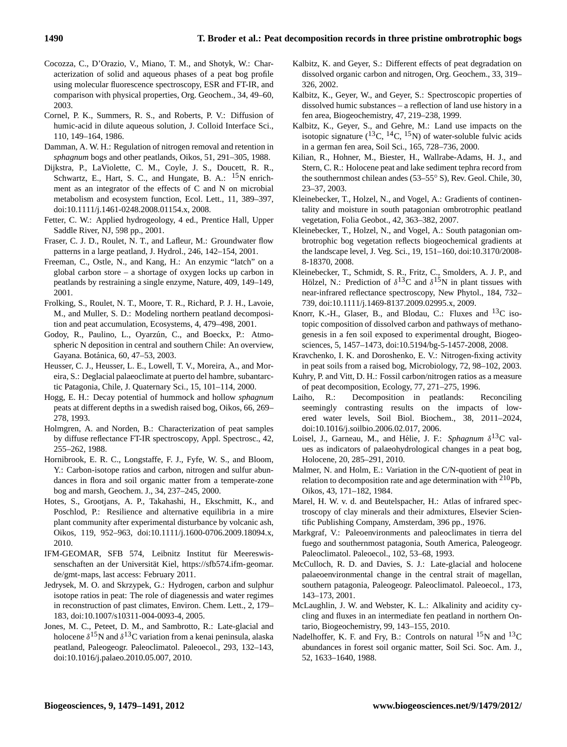- Cocozza, C., D'Orazio, V., Miano, T. M., and Shotyk, W.: Characterization of solid and aqueous phases of a peat bog profile using molecular fluorescence spectroscopy, ESR and FT-IR, and comparison with physical properties, Org. Geochem., 34, 49–60, 2003.
- Cornel, P. K., Summers, R. S., and Roberts, P. V.: Diffusion of humic-acid in dilute aqueous solution, J. Colloid Interface Sci., 110, 149–164, 1986.
- Damman, A. W. H.: Regulation of nitrogen removal and retention in *sphagnum* bogs and other peatlands, Oikos, 51, 291–305, 1988.
- Dijkstra, P., LaViolette, C. M., Coyle, J. S., Doucett, R. R., Schwartz, E., Hart, S. C., and Hungate, B. A.:  $15N$  enrichment as an integrator of the effects of C and N on microbial metabolism and ecosystem function, Ecol. Lett., 11, 389–397, [doi:10.1111/j.1461-0248.2008.01154.x,](http://dx.doi.org/10.1111/j.1461-0248.2008.01154.x) 2008.
- Fetter, C. W.: Applied hydrogeology, 4 ed., Prentice Hall, Upper Saddle River, NJ, 598 pp., 2001.
- Fraser, C. J. D., Roulet, N. T., and Lafleur, M.: Groundwater flow patterns in a large peatland, J. Hydrol., 246, 142–154, 2001.
- Freeman, C., Ostle, N., and Kang, H.: An enzymic "latch" on a global carbon store – a shortage of oxygen locks up carbon in peatlands by restraining a single enzyme, Nature, 409, 149–149, 2001.
- Frolking, S., Roulet, N. T., Moore, T. R., Richard, P. J. H., Lavoie, M., and Muller, S. D.: Modeling northern peatland decomposition and peat accumulation, Ecosystems, 4, 479–498, 2001.
- Godoy, R., Paulino, L., Oyarzún, C., and Boeckx, P.: Atmospheric N deposition in central and southern Chile: An overview, Gayana. Botanica, 60, 47–53, 2003. ´
- Heusser, C. J., Heusser, L. E., Lowell, T. V., Moreira, A., and Moreira, S.: Deglacial palaeoclimate at puerto del hambre, subantarctic Patagonia, Chile, J. Quaternary Sci., 15, 101–114, 2000.
- Hogg, E. H.: Decay potential of hummock and hollow *sphagnum* peats at different depths in a swedish raised bog, Oikos, 66, 269– 278, 1993.
- Holmgren, A. and Norden, B.: Characterization of peat samples by diffuse reflectance FT-IR spectroscopy, Appl. Spectrosc., 42, 255–262, 1988.
- Hornibrook, E. R. C., Longstaffe, F. J., Fyfe, W. S., and Bloom, Y.: Carbon-isotope ratios and carbon, nitrogen and sulfur abundances in flora and soil organic matter from a temperate-zone bog and marsh, Geochem. J., 34, 237–245, 2000.
- Hotes, S., Grootjans, A. P., Takahashi, H., Ekschmitt, K., and Poschlod, P.: Resilience and alternative equilibria in a mire plant community after experimental disturbance by volcanic ash, Oikos, 119, 952–963, [doi:10.1111/j.1600-0706.2009.18094.x,](http://dx.doi.org/10.1111/j.1600-0706.2009.18094.x) 2010.
- IFM-GEOMAR, SFB 574, Leibnitz Institut für Meereswissenschaften an der Universität Kiel, [https://sfb574.ifm-geomar.](https://sfb574.ifm-geomar.de/gmt-maps) [de/gmt-maps,](https://sfb574.ifm-geomar.de/gmt-maps) last access: February 2011.
- Jedrysek, M. O. and Skrzypek, G.: Hydrogen, carbon and sulphur isotope ratios in peat: The role of diagenessis and water regimes in reconstruction of past climates, Environ. Chem. Lett., 2, 179– 183, [doi:10.1007/s10311-004-0093-4,](http://dx.doi.org/10.1007/s10311-004-0093-4) 2005.
- Jones, M. C., Peteet, D. M., and Sambrotto, R.: Late-glacial and holocene  $\delta^{15}N$  and  $\delta^{13}C$  variation from a kenai peninsula, alaska peatland, Paleogeogr. Paleoclimatol. Paleoecol., 293, 132–143, [doi:10.1016/j.palaeo.2010.05.007,](http://dx.doi.org/10.1016/j.palaeo.2010.05.007) 2010.
- Kalbitz, K. and Geyer, S.: Different effects of peat degradation on dissolved organic carbon and nitrogen, Org. Geochem., 33, 319– 326, 2002.
- Kalbitz, K., Geyer, W., and Geyer, S.: Spectroscopic properties of dissolved humic substances – a reflection of land use history in a fen area, Biogeochemistry, 47, 219–238, 1999.
- Kalbitz, K., Geyer, S., and Gehre, M.: Land use impacts on the isotopic signature  $(^{13}C, ^{14}C, ^{15}N)$  of water-soluble fulvic acids in a german fen area, Soil Sci., 165, 728–736, 2000.
- Kilian, R., Hohner, M., Biester, H., Wallrabe-Adams, H. J., and Stern, C. R.: Holocene peat and lake sediment tephra record from the southernmost chilean andes (53–55◦ S), Rev. Geol. Chile, 30, 23–37, 2003.
- Kleinebecker, T., Holzel, N., and Vogel, A.: Gradients of continentality and moisture in south patagonian ombrotrophic peatland vegetation, Folia Geobot., 42, 363–382, 2007.
- Kleinebecker, T., Holzel, N., and Vogel, A.: South patagonian ombrotrophic bog vegetation reflects biogeochemical gradients at the landscape level, J. Veg. Sci., 19, 151–160, [doi:10.3170/2008-](http://dx.doi.org/10.3170/2008-8-18370) [8-18370,](http://dx.doi.org/10.3170/2008-8-18370) 2008.
- Kleinebecker, T., Schmidt, S. R., Fritz, C., Smolders, A. J. P., and Hölzel, N.: Prediction of  $\delta^{13}$ C and  $\delta^{15}$ N in plant tissues with near-infrared reflectance spectroscopy, New Phytol., 184, 732– 739, [doi:10.1111/j.1469-8137.2009.02995.x,](http://dx.doi.org/10.1111/j.1469-8137.2009.02995.x) 2009.
- Knorr, K.-H., Glaser, B., and Blodau, C.: Fluxes and  $^{13}$ C isotopic composition of dissolved carbon and pathways of methanogenesis in a fen soil exposed to experimental drought, Biogeosciences, 5, 1457–1473, [doi:10.5194/bg-5-1457-2008,](http://dx.doi.org/10.5194/bg-5-1457-2008) 2008.
- Kravchenko, I. K. and Doroshenko, E. V.: Nitrogen-fixing activity in peat soils from a raised bog, Microbiology, 72, 98–102, 2003.
- Kuhry, P. and Vitt, D. H.: Fossil carbon/nitrogen ratios as a measure of peat decomposition, Ecology, 77, 271–275, 1996.
- Laiho, R.: Decomposition in peatlands: Reconciling seemingly contrasting results on the impacts of lowered water levels, Soil Biol. Biochem., 38, 2011–2024, [doi:10.1016/j.soilbio.2006.02.017,](http://dx.doi.org/10.1016/j.soilbio.2006.02.017) 2006.
- Loisel, J., Garneau, M., and Hélie, J. F.: *Sphagnum* δ<sup>13</sup>C values as indicators of palaeohydrological changes in a peat bog, Holocene, 20, 285–291, 2010.
- Malmer, N. and Holm, E.: Variation in the C/N-quotient of peat in relation to decomposition rate and age determination with  $^{210}Pb$ , Oikos, 43, 171–182, 1984.
- Marel, H. W. v. d. and Beutelspacher, H.: Atlas of infrared spectroscopy of clay minerals and their admixtures, Elsevier Scientific Publishing Company, Amsterdam, 396 pp., 1976.
- Markgraf, V.: Paleoenvironments and paleoclimates in tierra del fuego and southernmost patagonia, South America, Paleogeogr. Paleoclimatol. Paleoecol., 102, 53–68, 1993.
- McCulloch, R. D. and Davies, S. J.: Late-glacial and holocene palaeoenvironmental change in the central strait of magellan, southern patagonia, Paleogeogr. Paleoclimatol. Paleoecol., 173, 143–173, 2001.
- McLaughlin, J. W. and Webster, K. L.: Alkalinity and acidity cycling and fluxes in an intermediate fen peatland in northern Ontario, Biogeochemistry, 99, 143–155, 2010.
- Nadelhoffer, K. F. and Fry, B.: Controls on natural  $^{15}N$  and  $^{13}C$ abundances in forest soil organic matter, Soil Sci. Soc. Am. J., 52, 1633–1640, 1988.